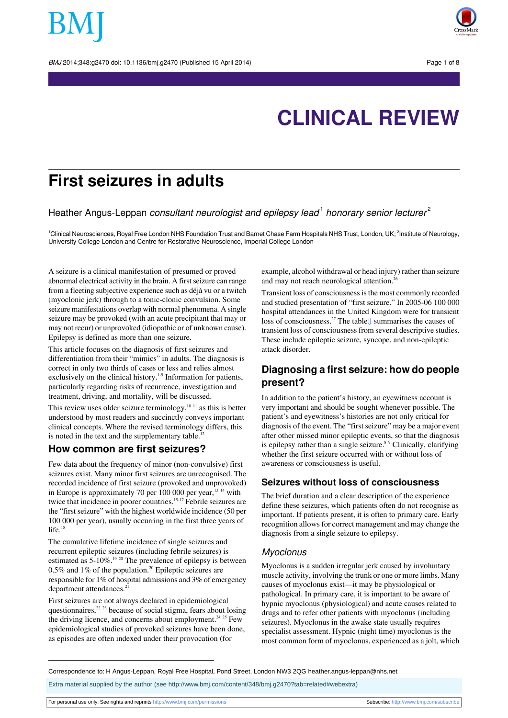

# **CLINICAL REVIEW**

## **First seizures in adults**

Heather Angus-Leppan consultant neurologist and epilepsy lead<sup>1</sup> honorary senior lecturer<sup>2</sup>

<sup>1</sup>Clinical Neurosciences, Royal Free London NHS Foundation Trust and Barnet Chase Farm Hospitals NHS Trust, London, UK; <sup>2</sup>Institute of Neurology, University College London and Centre for Restorative Neuroscience, Imperial College London

A seizure is a clinical manifestation of presumed or proved abnormal electrical activity in the brain. A first seizure can range from a fleeting subjective experience such as déjà vu or a twitch (myoclonic jerk) through to a tonic-clonic convulsion. Some seizure manifestations overlap with normal phenomena. A single seizure may be provoked (with an acute precipitant that may or may not recur) or unprovoked (idiopathic or of unknown cause). Epilepsy is defined as more than one seizure.

This article focuses on the diagnosis of first seizures and differentiation from their "mimics" in adults. The diagnosis is correct in only two thirds of cases or less and relies almost exclusively on the clinical history.<sup>1-9</sup> Information for patients, particularly regarding risks of recurrence, investigation and treatment, driving, and mortality, will be discussed.

This review uses older seizure terminology, $10^{-11}$  as this is better understood by most readers and succinctly conveys important clinical concepts. Where the revised terminology differs, this is noted in the text and the supplementary table. $12$ 

#### **How common are first seizures?**

Few data about the frequency of minor (non-convulsive) first seizures exist. Many minor first seizures are unrecognised. The recorded incidence of first seizure (provoked and unprovoked) in Europe is approximately 70 per  $100 000$  per year,  $^{13}$  <sup>14</sup> with twice that incidence in poorer countries.<sup>15-17</sup> Febrile seizures are the "first seizure" with the highest worldwide incidence (50 per 100 000 per year), usually occurring in the first three years of life.<sup>18</sup>

The cumulative lifetime incidence of single seizures and recurrent epileptic seizures (including febrile seizures) is estimated as 5-10%.<sup>19 20</sup> The prevalence of epilepsy is between  $0.5\%$  and  $1\%$  of the population.<sup>20</sup> Epileptic seizures are responsible for 1% of hospital admissions and 3% of emergency department attendances.<sup>21</sup>

First seizures are not always declared in epidemiological questionnaires, $2^{2}$  23 because of social stigma, fears about losing the driving licence, and concerns about employment.<sup>24 25</sup> Few epidemiological studies of provoked seizures have been done, as episodes are often indexed under their provocation (for

example, alcohol withdrawal or head injury) rather than seizure and may not reach neurological attention.<sup>2</sup>

Transient loss of consciousnessisthe most commonly recorded and studied presentation of "first seizure." In 2005-06 100 000 hospital attendances in the United Kingdom were for transient loss of consciousness.<sup>27</sup> The table[⇓](#page-7-0) summarises the causes of transient loss of consciousness from several descriptive studies. These include epileptic seizure, syncope, and non-epileptic attack disorder.

## **Diagnosing a first seizure: how do people present?**

In addition to the patient's history, an eyewitness account is very important and should be sought whenever possible. The patient's and eyewitness's histories are not only critical for diagnosis of the event. The "first seizure" may be a major event after other missed minor epileptic events, so that the diagnosis is epilepsy rather than a single seizure.<sup>8,9</sup> Clinically, clarifying whether the first seizure occurred with or without loss of awareness or consciousness is useful.

#### **Seizures without loss of consciousness**

The brief duration and a clear description of the experience define these seizures, which patients often do not recognise as important. If patients present, it is often to primary care. Early recognition allows for correct management and may change the diagnosis from a single seizure to epilepsy.

#### **Myoclonus**

Myoclonus is a sudden irregular jerk caused by involuntary muscle activity, involving the trunk or one or more limbs. Many causes of myoclonus exist—it may be physiological or pathological. In primary care, it is important to be aware of hypnic myoclonus (physiological) and acute causes related to drugs and to refer other patients with myoclonus (including seizures). Myoclonus in the awake state usually requires specialist assessment. Hypnic (night time) myoclonus is the most common form of myoclonus, experienced as a jolt, which

Correspondence to: H Angus-Leppan, Royal Free Hospital, Pond Street, London NW3 2QG heather.angus-leppan@nhs.net

Extra material supplied by the author (see [http://www.bmj.com/content/348/bmj.g2470?tab=related#webextra\)](http://www.bmj.com/content/348/bmj.g2470?tab=related#webextra)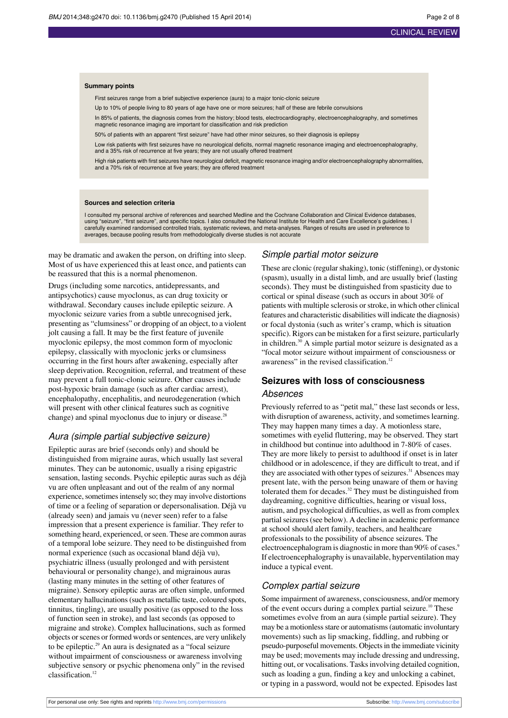#### **Summary points**

First seizures range from a brief subjective experience (aura) to a major tonic-clonic seizure

Up to 10% of people living to 80 years of age have one or more seizures; half of these are febrile convulsions

In 85% of patients, the diagnosis comes from the history; blood tests, electrocardiography, electroencephalography, and sometimes magnetic resonance imaging are important for classification and risk prediction

50% of patients with an apparent "first seizure" have had other minor seizures, so their diagnosis is epilepsy

Low risk patients with first seizures have no neurological deficits, normal magnetic resonance imaging and electroencephalography, and a 35% risk of recurrence at five years; they are not usually offered treatment

High risk patients with first seizures have neurological deficit, magnetic resonance imaging and/or electroencephalography abnormalities, and a 70% risk of recurrence at five years; they are offered treatment

#### **Sources and selection criteria**

I consulted my personal archive of references and searched Medline and the Cochrane Collaboration and Clinical Evidence databases, using "seizure", "first seizure", and specific topics. I also consulted the National Institute for Health and Care Excellence's guidelines. I carefully examined randomised controlled trials, systematic reviews, and meta-analyses. Ranges of results are used in preference to averages, because pooling results from methodologically diverse studies is not accurate

may be dramatic and awaken the person, on drifting into sleep. Most of us have experienced this at least once, and patients can be reassured that this is a normal phenomenon.

Drugs (including some narcotics, antidepressants, and antipsychotics) cause myoclonus, as can drug toxicity or withdrawal. Secondary causes include epileptic seizure. A myoclonic seizure varies from a subtle unrecognised jerk, presenting as "clumsiness" or dropping of an object, to a violent jolt causing a fall. It may be the first feature of juvenile myoclonic epilepsy, the most common form of myoclonic epilepsy, classically with myoclonic jerks or clumsiness occurring in the first hours after awakening, especially after sleep deprivation. Recognition, referral, and treatment of these may prevent a full tonic-clonic seizure. Other causes include post-hypoxic brain damage (such as after cardiac arrest), encephalopathy, encephalitis, and neurodegeneration (which will present with other clinical features such as cognitive change) and spinal myoclonus due to injury or disease. $^{28}$ 

#### Aura (simple partial subjective seizure)

Epileptic auras are brief (seconds only) and should be distinguished from migraine auras, which usually last several minutes. They can be autonomic, usually a rising epigastric sensation, lasting seconds. Psychic epileptic auras such as déjà vu are often unpleasant and out of the realm of any normal experience, sometimes intensely so; they may involve distortions of time or a feeling of separation or depersonalisation. Déjà vu (already seen) and jamais vu (never seen) refer to a false impression that a present experience is familiar. They refer to something heard, experienced, or seen. These are common auras of a temporal lobe seizure. They need to be distinguished from normal experience (such as occasional bland déjà vu), psychiatric illness (usually prolonged and with persistent behavioural or personality change), and migrainous auras (lasting many minutes in the setting of other features of migraine). Sensory epileptic auras are often simple, unformed elementary hallucinations(such as metallic taste, coloured spots, tinnitus, tingling), are usually positive (as opposed to the loss of function seen in stroke), and last seconds (as opposed to migraine and stroke). Complex hallucinations, such as formed objects or scenes or formed words or sentences, are very unlikely to be epileptic.<sup>29</sup> An aura is designated as a "focal seizure without impairment of consciousness or awareness involving subjective sensory or psychic phenomena only" in the revised classification.<sup>12</sup>

#### Simple partial motor seizure

These are clonic (regular shaking), tonic (stiffening), or dystonic (spasm), usually in a distal limb, and are usually brief (lasting seconds). They must be distinguished from spasticity due to cortical or spinal disease (such as occurs in about 30% of patients with multiple sclerosis or stroke, in which other clinical features and characteristic disabilities will indicate the diagnosis) or focal dystonia (such as writer's cramp, which is situation specific). Rigors can be mistaken for a first seizure, particularly in children.<sup>30</sup> A simple partial motor seizure is designated as a "focal motor seizure without impairment of consciousness or awareness" in the revised classification.<sup>12</sup>

## **Seizures with loss of consciousness**

## Absences

Previously referred to as "petit mal," these last seconds or less, with disruption of awareness, activity, and sometimes learning. They may happen many times a day. A motionless stare, sometimes with eyelid fluttering, may be observed. They start in childhood but continue into adulthood in 7-80% of cases. They are more likely to persist to adulthood if onset is in later childhood or in adolescence, if they are difficult to treat, and if they are associated with other types of seizures.<sup>31</sup> Absences may present late, with the person being unaware of them or having tolerated them for decades.<sup>32</sup> They must be distinguished from daydreaming, cognitive difficulties, hearing or visual loss, autism, and psychological difficulties, as well as from complex partial seizures (see below). A decline in academic performance at school should alert family, teachers, and healthcare professionals to the possibility of absence seizures. The electroencephalogram is diagnostic in more than 90% of cases.<sup>9</sup> If electroencephalography is unavailable, hyperventilation may induce a typical event.

#### Complex partial seizure

Some impairment of awareness, consciousness, and/or memory of the event occurs during a complex partial seizure.<sup>10</sup> These sometimes evolve from an aura (simple partial seizure). They may be a motionless stare or automatisms (automatic involuntary movements) such as lip smacking, fiddling, and rubbing or pseudo-purposeful movements. Objectsin the immediate vicinity may be used; movements may include dressing and undressing, hitting out, or vocalisations. Tasks involving detailed cognition, such as loading a gun, finding a key and unlocking a cabinet, or typing in a password, would not be expected. Episodes last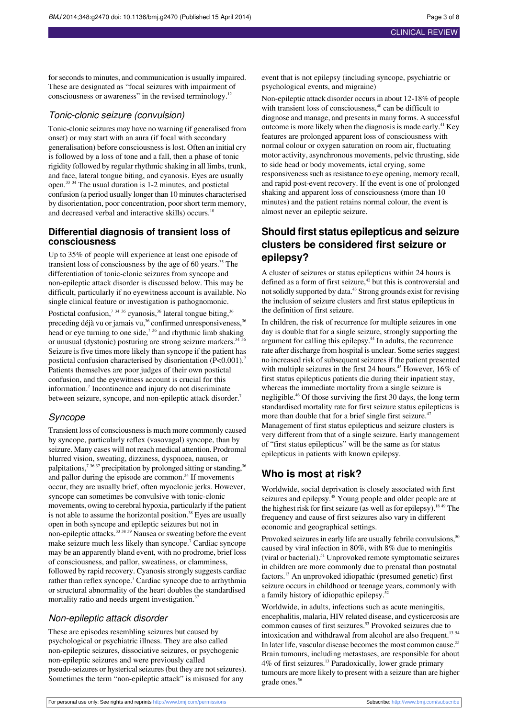for seconds to minutes, and communication is usually impaired. These are designated as "focal seizures with impairment of consciousness or awareness" in the revised terminology.<sup>12</sup>

#### Tonic-clonic seizure (convulsion)

Tonic-clonic seizures may have no warning (if generalised from onset) or may start with an aura (if focal with secondary generalisation) before consciousness is lost. Often an initial cry is followed by a loss of tone and a fall, then a phase of tonic rigidity followed by regular rhythmic shaking in all limbs, trunk, and face, lateral tongue biting, and cyanosis. Eyes are usually open.<sup>33</sup> <sup>34</sup> The usual duration is 1-2 minutes, and postictal confusion (a period usually longer than 10 minutes characterised by disorientation, poor concentration, poor short term memory, and decreased verbal and interactive skills) occurs.<sup>10</sup>

#### **Differential diagnosis of transient loss of consciousness**

Up to 35% of people will experience at least one episode of transient loss of consciousness by the age of 60 years.<sup>35</sup> The differentiation of tonic-clonic seizures from syncope and non-epileptic attack disorder is discussed below. This may be difficult, particularly if no eyewitness account is available. No single clinical feature or investigation is pathognomonic.

Postictal confusion,<sup>7 34 36</sup> cyanosis,<sup>36</sup> lateral tongue biting,  $36$ preceding déjà vu or jamais vu, $36$  confirmed unresponsiveness,  $36$ head or eye turning to one side,<sup> $7\frac{36}{3}$ </sup> and rhythmic limb shaking or unusual (dystonic) posturing are strong seizure markers. $34 \frac{36}{100}$ Seizure is five times more likely than syncope if the patient has postictal confusion characterised by disorientation (P<0.001).<sup>7</sup> Patients themselves are poor judges of their own postictal confusion, and the eyewitness account is crucial for this information.<sup>7</sup> Incontinence and injury do not discriminate between seizure, syncope, and non-epileptic attack disorder.<sup>7</sup>

#### Syncope

Transient loss of consciousnessis much more commonly caused by syncope, particularly reflex (vasovagal) syncope, than by seizure. Many cases will not reach medical attention. Prodromal blurred vision, sweating, dizziness, dyspnoea, nausea, or palpitations,<sup>7 36 37</sup> precipitation by prolonged sitting or standing,<sup>36</sup> and pallor during the episode are common.<sup>34</sup> If movements occur, they are usually brief, often myoclonic jerks. However, syncope can sometimes be convulsive with tonic-clonic movements, owing to cerebral hypoxia, particularly if the patient is not able to assume the horizontal position.<sup>38</sup> Eyes are usually open in both syncope and epileptic seizures but not in non-epileptic attacks.<sup>33 38</sup> 39 Nausea or sweating before the event make seizure much less likely than syncope.<sup>7</sup> Cardiac syncope may be an apparently bland event, with no prodrome, brief loss of consciousness, and pallor, sweatiness, or clamminess, followed by rapid recovery. Cyanosis strongly suggests cardiac rather than reflex syncope.<sup>7</sup> Cardiac syncope due to arrhythmia or structural abnormality of the heart doubles the standardised mortality ratio and needs urgent investigation.<sup>37</sup>

#### Non-epileptic attack disorder

These are episodes resembling seizures but caused by psychological or psychiatric illness. They are also called non-epileptic seizures, dissociative seizures, or psychogenic non-epileptic seizures and were previously called pseudo-seizures or hysterical seizures (but they are not seizures). Sometimes the term "non-epileptic attack" is misused for any

event that is not epilepsy (including syncope, psychiatric or psychological events, and migraine)

Non-epileptic attack disorder occurs in about 12-18% of people with transient loss of consciousness, $40$  can be difficult to diagnose and manage, and presentsin many forms. A successful outcome is more likely when the diagnosis is made early.<sup>41</sup> Key features are prolonged apparent loss of consciousness with normal colour or oxygen saturation on room air, fluctuating motor activity, asynchronous movements, pelvic thrusting, side to side head or body movements, ictal crying, some responsiveness such as resistance to eye opening, memory recall, and rapid post-event recovery. If the event is one of prolonged shaking and apparent loss of consciousness (more than 10 minutes) and the patient retains normal colour, the event is almost never an epileptic seizure.

## **Should first status epilepticus and seizure clusters be considered first seizure or epilepsy?**

A cluster of seizures or status epilepticus within 24 hours is defined as a form of first seizure, $42$  but this is controversial and notsolidly supported by data.<sup>43</sup> Strong grounds exist for revising the inclusion of seizure clusters and first status epilepticus in the definition of first seizure.

In children, the risk of recurrence for multiple seizures in one day is double that for a single seizure, strongly supporting the argument for calling this epilepsy.<sup>44</sup> In adults, the recurrence rate after discharge from hospital is unclear. Some series suggest no increased risk of subsequent seizures if the patient presented with multiple seizures in the first 24 hours. $45$  However, 16% of first status epilepticus patients die during their inpatient stay, whereas the immediate mortality from a single seizure is negligible.<sup>46</sup> Of those surviving the first 30 days, the long term standardised mortality rate for first seizure status epilepticus is more than double that for a brief single first seizure.<sup>47</sup> Management of first status epilepticus and seizure clusters is very different from that of a single seizure. Early management of "first status epilepticus" will be the same as for status epilepticus in patients with known epilepsy.

### **Who is most at risk?**

Worldwide, social deprivation is closely associated with first seizures and epilepsy.<sup>48</sup> Young people and older people are at the highest risk for first seizure (as well as for epilepsy).<sup>18 49</sup> The frequency and cause of first seizures also vary in different economic and geographical settings.

Provoked seizures in early life are usually febrile convulsions,<sup>50</sup> caused by viral infection in 80%, with 8% due to meningitis (viral or bacterial).<sup>51</sup> Unprovoked remote symptomatic seizures in children are more commonly due to prenatal than postnatal factors.<sup>13</sup> An unprovoked idiopathic (presumed genetic) first seizure occurs in childhood or teenage years, commonly with a family history of idiopathic epilepsy.<sup>52</sup>

Worldwide, in adults, infections such as acute meningitis, encephalitis, malaria, HIV related disease, and cysticercosis are common causes of first seizures.<sup>53</sup> Provoked seizures due to intoxication and withdrawal from alcohol are also frequent.<sup>13 54</sup> In later life, vascular disease becomes the most common cause.<sup>55</sup> Brain tumours, including metastases, are responsible for about 4% of first seizures.<sup>13</sup> Paradoxically, lower grade primary tumours are more likely to present with a seizure than are higher grade ones.<sup>56</sup>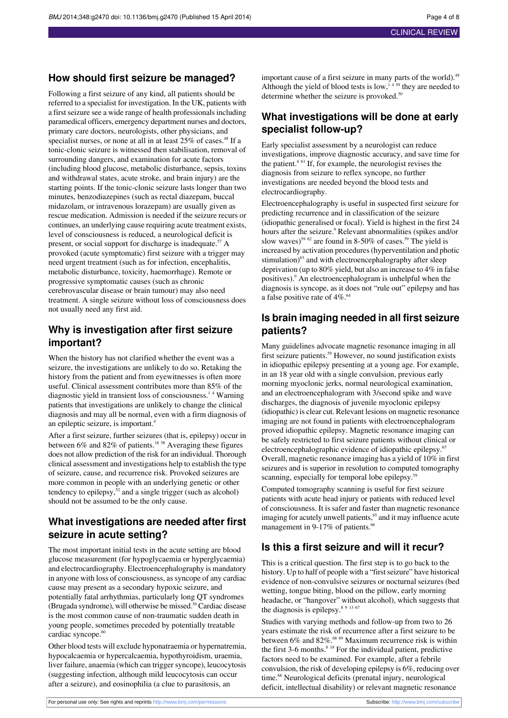## **How should first seizure be managed?**

Following a first seizure of any kind, all patients should be referred to a specialist for investigation. In the UK, patients with a first seizure see a wide range of health professionals including paramedical officers, emergency department nurses and doctors, primary care doctors, neurologists, other physicians, and specialist nurses, or none at all in at least 25% of cases.<sup>48</sup> If a tonic-clonic seizure is witnessed then stabilisation, removal of surrounding dangers, and examination for acute factors (including blood glucose, metabolic disturbance, sepsis, toxins and withdrawal states, acute stroke, and brain injury) are the starting points. If the tonic-clonic seizure lasts longer than two minutes, benzodiazepines (such as rectal diazepam, buccal midazolam, or intravenous lorazepam) are usually given as rescue medication. Admission is needed if the seizure recurs or continues, an underlying cause requiring acute treatment exists, level of consciousness is reduced, a neurological deficit is present, or social support for discharge is inadequate.<sup>57</sup> A provoked (acute symptomatic) first seizure with a trigger may need urgent treatment (such as for infection, encephalitis, metabolic disturbance, toxicity, haemorrhage). Remote or progressive symptomatic causes (such as chronic cerebrovascular disease or brain tumour) may also need treatment. A single seizure without loss of consciousness does not usually need any first aid.

## **Why is investigation after first seizure important?**

When the history has not clarified whether the event was a seizure, the investigations are unlikely to do so. Retaking the history from the patient and from eyewitnesses is often more useful. Clinical assessment contributes more than 85% of the diagnostic yield in transient loss of consciousness.<sup>14</sup> Warning patients that investigations are unlikely to change the clinical diagnosis and may all be normal, even with a firm diagnosis of an epileptic seizure, is important.<sup>4</sup>

After a first seizure, further seizures (that is, epilepsy) occur in between 6% and 82% of patients.<sup>18 58</sup> Averaging these figures does not allow prediction of the risk for an individual. Thorough clinical assessment and investigations help to establish the type of seizure, cause, and recurrence risk. Provoked seizures are more common in people with an underlying genetic or other tendency to epilepsy,  $\frac{1}{2}$  and a single trigger (such as alcohol) should not be assumed to be the only cause.

## **What investigations are needed after first seizure in acute setting?**

The most important initial tests in the acute setting are blood glucose measurement (for hypoglycaemia or hyperglycaemia) and electrocardiography. Electroencephalography is mandatory in anyone with loss of consciousness, as syncope of any cardiac cause may present as a secondary hypoxic seizure, and potentially fatal arrhythmias, particularly long QT syndromes (Brugada syndrome), will otherwise be missed.<sup>59</sup> Cardiac disease is the most common cause of non-traumatic sudden death in young people, sometimes preceded by potentially treatable cardiac syncope.<sup>60</sup>

Other blood tests will exclude hyponatraemia or hypernatremia, hypocalcaemia or hypercalcaemia, hypothyroidism, uraemia, liver failure, anaemia (which can trigger syncope), leucocytosis (suggesting infection, although mild leucocytosis can occur after a seizure), and eosinophilia (a clue to parasitosis, an

important cause of a first seizure in many parts of the world).<sup>48</sup> Although the yield of blood tests is low,<sup>1459</sup> they are needed to determine whether the seizure is provoked.<sup>50</sup>

## **What investigations will be done at early specialist follow-up?**

Early specialist assessment by a neurologist can reduce investigations, improve diagnostic accuracy, and save time for the patient.<sup>4</sup> <sup>61</sup> If, for example, the neurologist revises the diagnosis from seizure to reflex syncope, no further investigations are needed beyond the blood tests and electrocardiography.

Electroencephalography is useful in suspected first seizure for predicting recurrence and in classification of the seizure (idiopathic generalised or focal). Yield is highest in the first 24 hours after the seizure.<sup>9</sup> Relevant abnormalities (spikes and/or slow waves)<sup>59 62</sup> are found in 8-50% of cases.<sup>59</sup> The yield is increased by activation procedures(hyperventilation and photic stimulation)<sup>63</sup> and with electroencephalography after sleep deprivation (up to 80% yield, but also an increase to 4% in false positives).<sup>9</sup> An electroencephalogram is unhelpful when the diagnosis is syncope, as it does not "rule out" epilepsy and has a false positive rate of  $4\%$ .<sup>64</sup>

## **Is brain imaging needed in all first seizure patients?**

Many guidelines advocate magnetic resonance imaging in all first seizure patients.<sup>59</sup> However, no sound justification exists in idiopathic epilepsy presenting at a young age. For example, in an 18 year old with a single convulsion, previous early morning myoclonic jerks, normal neurological examination, and an electroencephalogram with 3/second spike and wave discharges, the diagnosis of juvenile myoclonic epilepsy (idiopathic) is clear cut. Relevant lesions on magnetic resonance imaging are not found in patients with electroencephalogram proved idiopathic epilepsy. Magnetic resonance imaging can be safely restricted to first seizure patients without clinical or electroencephalographic evidence of idiopathic epilepsy.<sup>65</sup> Overall, magnetic resonance imaging has a yield of 10% in first seizures and is superior in resolution to computed tomography scanning, especially for temporal lobe epilepsy.<sup>39</sup>

Computed tomography scanning is useful for first seizure patients with acute head injury or patients with reduced level of consciousness. It is safer and faster than magnetic resonance imaging for acutely unwell patients,<sup>65</sup> and it may influence acute management in 9-17% of patients.<sup>66</sup>

## **Is this a first seizure and will it recur?**

This is a critical question. The first step is to go back to the history. Up to half of people with a "first seizure" have historical evidence of non-convulsive seizures or nocturnal seizures (bed wetting, tongue biting, blood on the pillow, early morning headache, or "hangover" without alcohol), which suggests that the diagnosis is epilepsy.<sup>8 9 13 67</sup>

Studies with varying methods and follow-up from two to 26 years estimate the risk of recurrence after a first seizure to be between  $6\%$  and  $82\%$ .<sup>68 69</sup> Maximum recurrence risk is within the first  $3-6$  months.<sup>8 18</sup> For the individual patient, predictive factors need to be examined. For example, after a febrile convulsion, the risk of developing epilepsy is 6%, reducing over time.<sup>68</sup> Neurological deficits (prenatal injury, neurological deficit, intellectual disability) or relevant magnetic resonance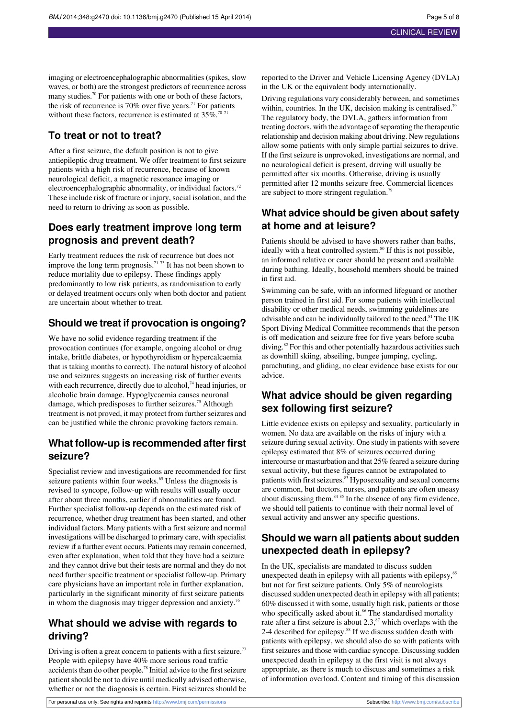imaging or electroencephalographic abnormalities (spikes, slow waves, or both) are the strongest predictors of recurrence across many studies.<sup>70</sup> For patients with one or both of these factors, the risk of recurrence is 70% over five years.<sup>71</sup> For patients without these factors, recurrence is estimated at  $35\%$ .<sup>70 71</sup>

## **To treat or not to treat?**

After a first seizure, the default position is not to give antiepileptic drug treatment. We offer treatment to first seizure patients with a high risk of recurrence, because of known neurological deficit, a magnetic resonance imaging or electroencephalographic abnormality, or individual factors.<sup>72</sup> These include risk of fracture or injury, social isolation, and the need to return to driving as soon as possible.

## **Does early treatment improve long term prognosis and prevent death?**

Early treatment reduces the risk of recurrence but does not improve the long term prognosis.<sup>71 73</sup> It has not been shown to reduce mortality due to epilepsy. These findings apply predominantly to low risk patients, as randomisation to early or delayed treatment occurs only when both doctor and patient are uncertain about whether to treat.

### **Should we treat if provocation is ongoing?**

We have no solid evidence regarding treatment if the provocation continues (for example, ongoing alcohol or drug intake, brittle diabetes, or hypothyroidism or hypercalcaemia that is taking months to correct). The natural history of alcohol use and seizures suggests an increasing risk of further events with each recurrence, directly due to alcohol, $74$  head injuries, or alcoholic brain damage. Hypoglycaemia causes neuronal damage, which predisposes to further seizures.<sup>75</sup> Although treatment is not proved, it may protect from further seizures and can be justified while the chronic provoking factors remain.

### **What follow-up is recommended after first seizure?**

Specialist review and investigations are recommended for first seizure patients within four weeks.<sup>65</sup> Unless the diagnosis is revised to syncope, follow-up with results will usually occur after about three months, earlier if abnormalities are found. Further specialist follow-up depends on the estimated risk of recurrence, whether drug treatment has been started, and other individual factors. Many patients with a first seizure and normal investigations will be discharged to primary care, with specialist review if a further event occurs. Patients may remain concerned, even after explanation, when told that they have had a seizure and they cannot drive but their tests are normal and they do not need further specific treatment or specialist follow-up. Primary care physicians have an important role in further explanation, particularly in the significant minority of first seizure patients in whom the diagnosis may trigger depression and anxiety.<sup>76</sup>

## **What should we advise with regards to driving?**

Driving is often a great concern to patients with a first seizure.<sup>77</sup> People with epilepsy have 40% more serious road traffic accidents than do other people.<sup>78</sup> Initial advice to the first seizure patient should be not to drive until medically advised otherwise, whether or not the diagnosis is certain. First seizures should be reported to the Driver and Vehicle Licensing Agency (DVLA) in the UK or the equivalent body internationally.

Driving regulations vary considerably between, and sometimes within, countries. In the UK, decision making is centralised.<sup>79</sup> The regulatory body, the DVLA, gathers information from treating doctors, with the advantage of separating the therapeutic relationship and decision making about driving. New regulations allow some patients with only simple partial seizures to drive. If the first seizure is unprovoked, investigations are normal, and no neurological deficit is present, driving will usually be permitted after six months. Otherwise, driving is usually permitted after 12 months seizure free. Commercial licences are subject to more stringent regulation.<sup>79</sup>

## **What advice should be given about safety at home and at leisure?**

Patients should be advised to have showers rather than baths, ideally with a heat controlled system.<sup>80</sup> If this is not possible, an informed relative or carer should be present and available during bathing. Ideally, household members should be trained in first aid.

Swimming can be safe, with an informed lifeguard or another person trained in first aid. For some patients with intellectual disability or other medical needs, swimming guidelines are advisable and can be individually tailored to the need.<sup>81</sup> The UK Sport Diving Medical Committee recommends that the person is off medication and seizure free for five years before scuba diving.<sup>82</sup> For this and other potentially hazardous activities such as downhill skiing, abseiling, bungee jumping, cycling, parachuting, and gliding, no clear evidence base exists for our advice.

## **What advice should be given regarding sex following first seizure?**

Little evidence exists on epilepsy and sexuality, particularly in women. No data are available on the risks of injury with a seizure during sexual activity. One study in patients with severe epilepsy estimated that 8% of seizures occurred during intercourse or masturbation and that 25% feared a seizure during sexual activity, but these figures cannot be extrapolated to patients with first seizures.<sup>83</sup> Hyposexuality and sexual concerns are common, but doctors, nurses, and patients are often uneasy about discussing them.<sup>84 85</sup> In the absence of any firm evidence, we should tell patients to continue with their normal level of sexual activity and answer any specific questions.

## **Should we warn all patients about sudden unexpected death in epilepsy?**

In the UK, specialists are mandated to discuss sudden unexpected death in epilepsy with all patients with epilepsy,<sup>65</sup> but not for first seizure patients. Only 5% of neurologists discussed sudden unexpected death in epilepsy with all patients; 60% discussed it with some, usually high risk, patients or those who specifically asked about it.<sup>86</sup> The standardised mortality rate after a first seizure is about 2.3,<sup>87</sup> which overlaps with the 2-4 described for epilepsy.<sup>88</sup> If we discuss sudden death with patients with epilepsy, we should also do so with patients with first seizures and those with cardiac syncope. Discussing sudden unexpected death in epilepsy at the first visit is not always appropriate, as there is much to discuss and sometimes a risk of information overload. Content and timing of this discussion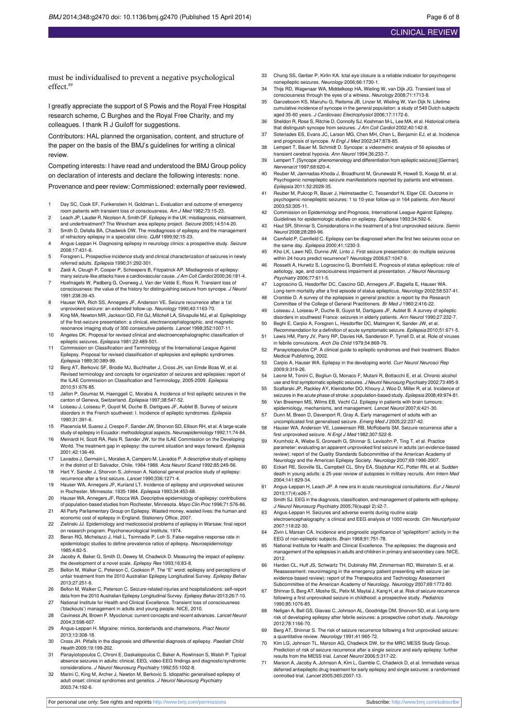must be individualised to prevent a negative psychological effect.<sup>89</sup>

I greatly appreciate the support of S Powis and the Royal Free Hospital research scheme, C Burghes and the Royal Free Charity, and my colleagues. I thank R J Guiloff for suggestions.

Contributors: HAL planned the organisation, content, and structure of the paper on the basis of the BMJ's guidelines for writing a clinical review.

Competing interests: I have read and understood the BMJ Group policy on declaration of interests and declare the following interests: none.

Provenance and peer review: Commissioned: externally peer reviewed.

- 1 Day SC, Cook EF, Funkenstein H, Goldman L. Evaluation and outcome of emergency room patients with transient loss of consciousness. Am J Med 1982;73:15-23.
- 2 Leach JP, Lauder R, Nicolson A, Smith DF. Epilepsy in the UK: misdiagnosis, mistreatment, and undertreatment? The Wrexham area epilepsy project. Seizure 2005;14:514-20. 3 Smith D, Defalla BA, Chadwick DW. The misdiagnosis of epilepsy and the management
- of refractory epilepsy in a specialist clinic. QJM 1999;92:15-23.
- 4 Angus-Leppan H. Diagnosing epilepsy in neurology clinics: a prospective study. Seizure 2008;17:431-6. 5 Forsgren L. Prospective incidence study and clinical characterization of seizures in newly
- referred adults. Epilepsia 1990;31:292-301.
- 6 Zaidi A, Clough P, Cooper P, Scheepers B, Fitzpatrick AP. Misdiagnosis of epilepsy: many seizure-like attacks have a cardiovascular cause. J Am Coll Cardiol 2000;36:181-4.
- 7 Hoefnagels W, Padberg G, Overweg J, Van der Velde E, Roos R. Transient loss of consciousness: the value of the history for distinguishing seizure from syncope. J Neurol 1991;238:39-43.
- 8 Hauser WA, Rich SS, Annegers JF, Anderson VE. Seizure recurrence after a 1st unprovoked seizure: an extended follow-up. Neurology 1990;40:1163-70.
- 9 King MA, Newton MR, Jackson GD, Fitt GJ, Mitchell LA, Silvapulle MJ, et al. Epileptology of the first-seizure presentation: a clinical, electroencephalographic, and magnetic resonance imaging study of 300 consecutive patients. Lancet 1998;352:1007-11.
- 10 Angeles DK. Proposal for revised clinical and electroencephalographic classification of epileptic seizures. Epilepsia 1981;22:489-501.
- 11 Commission on Classification and Terminology of the International League Against Epilepsy. Proposal for revised classification of epilepsies and epileptic syndromes. Epilepsia 1989;30:389-99.
- 12 Berg AT, Berkovic SF, Brodie MJ, Buchhalter J, Cross JH, van Emde Boas W, et al. Revised terminology and concepts for organization of seizures and epilepsies: report of the ILAE Commission on Classification and Terminology, 2005-2009. Epilepsia 2010;51:676-85.
- 13 Jallon P, Goumaz M, Haenggeli C, Morabia A. Incidence of first epileptic seizures in the canton of Geneva, Switzerland. Epilepsia 1997;38:547-52.
- Loiseau J, Loiseau P, Guyot M, Duche B, Dartigues JF, Aublet B. Survey of seizure disorders in the French southwest: I. Incidence of epileptic syndromes. Epilepsia 1990;31:391-6.
- 15 Placencia M, Suarez J, Crespo F, Sander JW, Shorvon SD, Ellison RH, et al. A large-scale study of epilepsy in Ecuador: methodological aspects. Neuroepidemiology 1992;11:74-84.
- 16 Meinardi H, Scott RA, Reis R, Sander JW, for the ILAE Commission on the Developing World. The treatment gap in epilepsy: the current situation and ways forward. Epilepsia 2001;42:136-49.
- 17 Lavados J, Germain L, Morales A, Campero M, Lavados P. A descriptive study of epilepsy in the district of El Salvador, Chile, 1984-1988. Acta Neurol Scand 1992;85:249-56.
- 18 Hart Y, Sander J, Shorvon S, Johnson A. National general practice study of epilepsy: recurrence after a first seizure. Lancet 1990;336:1271-4.
- 19 Hauser WA, Annegers JF, Kurland LT. Incidence of epilepsy and unprovoked seizures in Rochester, Minnesota: 1935-1984. Epilepsia 1993;34:453-68.
- 20 Hauser WA, Annegers JF, Rocca WA. Descriptive epidemiology of epilepsy: contributions of population-based studies from Rochester, Minnesota. Mayo Clin Proc 1996;71:576-86.
- 21 All Party Parliamentary Group on Epilepsy. Wasted money, wasted lives: the human and economic cost of epilepsy in England. Stationery Office, 2007.
- 22 Zielinski JJ. Epidemiology and medicosocial problems of epilepsy in Warsaw: final report on research program. Psychoneurological Institute, 1974.
- 23 Beran RG, Michelazzi J, Hall L, Tsimnadis P, Loh S. False-negative response rate in epidemiologic studies to define prevalence ratios of epilepsy. Neuroepidemiology 1985;4:82-5.
- 24 Jacoby A, Baker G, Smith D, Dewey M, Chadwick D. Measuring the impact of epilepsy:
- the development of a novel scale. *Epilepsy Res* 1993;16:83-8.<br>25 Bellon M, Walker C, Peterson C, Cookson P. The "E" word: epilepsy and perceptions of unfair treatment from the 2010 Australian Epilepsy Longitudinal Survey. Epilepsy Behav 2013;27:251-6.
- 26 Bellon M, Walker C, Peterson C. Seizure-related injuries and hospitalizations: self-report data from the 2010 Australian Epilepsy Longitudinal Survey. Epilepsy Behav 2013;26:7-10.
- 27 National Institute for Health and Clinical Excellence. Transient loss of consciousness ('blackouts') management in adults and young people. NICE, 2010. 28 Caviness JN, Brown P. Myoclonus: current concepts and recent advances. Lancet Neurol
- 2004;3:598-607.
- 29 Angus-Leppan H. Migraine: mimics, borderlands and chameleons. Pract Neurol 2013;13:308-18.
- 30 Cross JH. Pitfalls in the diagnosis and differential diagnosis of epilepsy. Paediatr Child Health 2009;19:199-202.
- 31 Panayiotopoulos C, Chroni E, Daskalopoulos C, Baker A, Rowlinson S, Walsh P. Typical absence seizures in adults: clinical, EEG, video-EEG findings and diagnostic/syndromic considerations. J Neurol Neurosurg Psychiatry 1992;55:1002-8.
- 32 Marini C, King M, Archer J, Newton M, Berkovic S. Idiopathic generalised epilepsy of adult onset: clinical syndromes and genetics. J Neurol Neurosurg Psychiatry 2003;74:192-6.
- 33 Chung SS, Gerber P, Kirlin KA. Ictal eye closure is a reliable indicator for psychogenic nonepileptic seizures. Neurology 2006;66:1730-1.
- 34 Thijs RD, Wagenaar WA, Middelkoop HA, Wieling W, van Dijk JG. Transient loss of consciousness through the eyes of a witness. Neurology 2008;71:1713-8.
- 35 Ganzeboom KS, Mairuhu G, Reitsma JB, Linzer M, Wieling W, Van Dijk N. Lifetime cumulative incidence of syncope in the general population: a study of 549 Dutch subjects aged 35-60 years. J Cardiovasc Electrophysiol 2006;17:1172-6.
- 36 Sheldon R, Rose S, Ritchie D, Connolly SJ, Koshman M-L, Lee MA, et al. Historical criteria that distinguish syncope from seizures. J Am Coll Cardiol 2002;40:142-8.
- 37 Soteriades ES, Evans JC, Larson MG, Chen MH, Chen L, Benjamin EJ, et al. Incidence and prognosis of syncope. N Engl J Med 2002;347:878-85.
- 38 Lempert T, Bauer M, Schmidt D. Syncope: a videometric analysis of 56 episodes of transient cerebral hypoxia. Ann Neurol 1994;36:233-7.
- 39 Lempert T. [Syncope: phenomenology and differentiation from epileptic seizures] [German]. Nervenarzt 1997;68:620-4.
- 40 Reuber M, Jamnadas-Khoda J, Broadhurst M, Grunewald R, Howell S, Koepp M, et al. Psychogenic nonepileptic seizure manifestations reported by patients and witnesses. Epilepsia 2011;52:2028-35.
- 41 Reuber M, Pukrop R, Bauer J, Helmstaedter C, Tessendorf N, Elger CE. Outcome in psychogenic nonepileptic seizures: 1 to 10-year follow-up in 164 patients. Ann Neurol 2003;53:305-11.
- 42 Commission on Epidemiology and Prognosis, International League Against Epilepsy. Guidelines for epidemiologic studies on epilepsy. Epilepsia 1993;34:592-6.
- 43 Haut SR, Shinnar S. Considerations in the treatment of a first unprovoked seizure. Semin Neurol 2008;28:289-96.
- 44 Camfield P, Camfield C. Epilepsy can be diagnosed when the first two seizures occur on the same day. Epilepsia 2000;41:1230-3.
- 45 Kho LK, Lawn ND, Dunne JW, Linto J. First seizure presentation: do multiple seizures within 24 hours predict recurrence? Neurology 2006;67:1047-9.
- 46 Rossetti A, Hurwitz S, Logroscino G, Bromfield E. Prognosis of status epilepticus: role of aetiology, age, and consciousness impairment at presentation. J Neurol Neurosurg Psychiatry 2006;77:611-5.
- 47 Logroscino G, Hesdorffer DC, Cascino GD, Annegers JF, Bagiella E, Hauser WA. Long-term mortality after a first episode of status epilepticus. Neurology 2002;58:537-41.
- 48 Crombie D. A survey of the epilepsies in general practice: a report by the Research Committee of the College of General Practitioners. Br Med J 1960;2:416-22.
- 49 Loiseau J, Loiseau P, Duche B, Guyot M, Dartigues JF, Aublet B. A survey of epileptic disorders in southwest France: seizures in elderly patients. Ann Neurol 1990;27:232-7.<br>50 Beghi E, Carpio A, Forsgren L, Hesdorffer DC, Malmgren K, Sander JW, et al.
- Recommendation for a definition of acute symptomatic seizure. Epilepsia 2010;51:671-5.
- 51 Lewis HM, Parry JV, Parry RP, Davies HA, Sanderson P, Tyrrell D, et al. Role of viruses in febrile convulsions. Arch Dis Child 1979;54:869-76. 52 Panayiotopoulos CP. A clinical guide to epileptic syndromes and their treatment. Bladon
- Medical Publishing, 2002.
- 53 Carpio A, Hauser WA. Epilepsy in the developing world. Curr Neurol Neurosci Rep 2009;9:319-26.
- 54 Leone M, Tonini C, Bogliun G, Monaco F, Mutani R, Bottacchi E, et al. Chronic alcohol use and first symptomatic epileptic seizures. J Neurol Neurosurg Psychiatry 2002;73:495-9.
- 55 Szaflarski JP, Rackley AY, Kleindorfer DO, Khoury J, Woo D, Miller R, et al. Incidence of seizures in the acute phase of stroke: a population-based study. Epilepsia 2008;49:974-81. 56 Van Breemen MS, Wilms EB, Vecht CJ. Epilepsy in patients with brain tumours:
- epidemiology, mechanisms, and management. Lancet Neurol 2007;6:421-30.
- 57 Dunn M, Breen D, Davenport R, Gray A. Early management of adults with an uncomplicated first generalised seizure. Emerg Med J 2005;22:237-42.
- 58 Hauser WA, Anderson VE, Loewenson RB, McRoberts SM. Seizure recurrence after a first unprovoked seizure. N Engl J Med 1982;307:522-8.
- 59 Krumholz A, Wiebe S, Gronseth G, Shinnar S, Levisohn P, Ting T, et al. Practice parameter: evaluating an apparent unprovoked first seizure in adults (an evidence-based review): report of the Quality Standards Subcommittee of the American Academy of
- Neurology and the American Epilepsy Society. *Neurology* 2007;69:1996-2007.<br>60 Eckart RE, Scoville SL, Campbell CL, Shry EA, Stajduhar KC, Potter RN, et al. Sudden death in young adults: a 25-year review of autopsies in military recruits. Ann Intern Med 2004;141:829-34.
- 61 Angus-Leppan H, Leach JP. A new era in acute neurological consultations. Eur J Neurol 2010;17(4):e26-7.
- 62 Smith SJ. EEG in the diagnosis, classification, and management of patients with epilepsy. J Neurol Neurosurg Psychiatry 2005;76(suppl 2):ii2-7.
- 63 Angus-Leppan H. Seizures and adverse events during routine scalp electroencephalography: a clinical and EEG analysis of 1000 records. Clin Neurophysiol 2007;118:22-30.
- 64 Zivin L Marsan CA. Incidence and prognostic significance of "epileptiform" activity in the EEG of non-epileptic subjects. Brain 1968;91:751-78.
- 65 National Institute for Health and Clinical Excellence. The epilepsies: the diagnosis and management of the epilepsies in adults and children in primary and secondary care. NICE, 2012.
- 66 Harden CL, Huff JS, Schwartz TH, Dubinsky RM, Zimmerman RD, Weinstein S, et al. Reassessment: neuroimaging in the emergency patient presenting with seizure (an evidence-based review): report of the Therapeutics and Technology Assessment Subcommittee of the American Academy of Neurology. Neurology 2007;69:1772-80.
- 67 Shinnar S, Berg AT, Moshe SL, Petix M, Maytal J, Kang H, et al. Risk of seizure recurrence following a first unprovoked seizure in childhood: a prospective study. Pediatrics 1990;85:1076-85.
- 68 Neligan A, Bell GS, Giavasi C, Johnson AL, Goodridge DM, Shorvon SD, et al. Long-term risk of developing epilepsy after febrile seizures: a prospective cohort study. Neurology 2012;78:1166-70.
- 69 Berg AT, Shinnar S. The risk of seizure recurrence following a first unprovoked seizure: a quantitative review. Neurology 1991;41:965-72.
- 70 Kim LG, Johnson TL, Marson AG, Chadwick DW, for the MRC MESS Study Group. Prediction of risk of seizure recurrence after a single seizure and early epilepsy: further results from the MESS trial. Lancet Neurol 2006;5:317-22.
- 71 Marson A, Jacoby A, Johnson A, Kim L, Gamble C, Chadwick D, et al. Immediate versus deferred antiepileptic drug treatment for early epilepsy and single seizures: a randomised controlled trial. Lancet 2005;365:2007-13.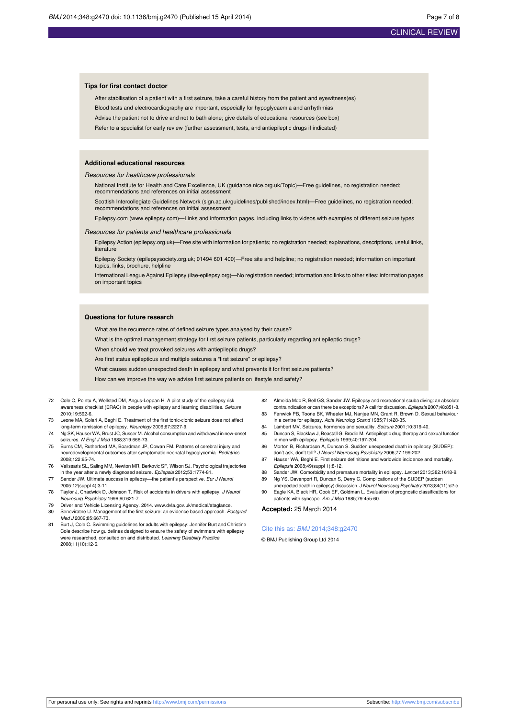#### **Tips for first contact doctor**

After stabilisation of a patient with a first seizure, take a careful history from the patient and eyewitness(es) Blood tests and electrocardiography are important, especially for hypoglycaemia and arrhythmias Advise the patient not to drive and not to bath alone; give details of educational resources (see box) Refer to a specialist for early review (further assessment, tests, and antiepileptic drugs if indicated)

#### **Additional educational resources**

#### Resources for healthcare professionals

National Institute for Health and Care Excellence, UK (guidance.nice.org.uk/Topic)—Free guidelines, no registration needed; recommendations and references on initial assessment

Scottish Intercollegiate Guidelines Network (sign.ac.uk/guidelines/published/index.html)—Free guidelines, no registration needed; recommendations and references on initial assessment

Epilepsy.com ([www.epilepsy.com\)](http://www.epilepsy.com/)—Links and information pages, including links to videos with examples of different seizure types

#### Resources for patients and healthcare professionals

Epilepsy Action (epilepsy.org.uk)—Free site with information for patients; no registration needed; explanations, descriptions, useful links, literature

Epilepsy Society (epilepsysociety.org.uk; 01494 601 400)—Free site and helpline; no registration needed; information on important topics, links, brochure, helpline

International League Against Epilepsy (ilae-epilepsy.org)—No registration needed; information and links to other sites; information pages on important topics

#### **Questions for future research**

What are the recurrence rates of defined seizure types analysed by their cause?

What is the optimal management strategy for first seizure patients, particularly regarding antiepileptic drugs?

When should we treat provoked seizures with antiepileptic drugs?

Are first status epilepticus and multiple seizures a "first seizure" or epilepsy?

What causes sudden unexpected death in epilepsy and what prevents it for first seizure patients?

How can we improve the way we advise first seizure patients on lifestyle and safety?

- 72 Cole C, Pointu A, Wellsted DM, Angus-Leppan H. A pilot study of the epilepsy risk awareness checklist (ERAC) in people with epilepsy and learning disabilities. Seizure 2010;19:592-6.
- 73 Leone MA, Solari A, Beghi E. Treatment of the first tonic-clonic seizure does not affect long-term remission of epilepsy. Neurology 2006;67:2227-9.
- 74 Ng SK, Hauser WA, Brust JC, Susser M. Alcohol consumption and withdrawal in new-onset .<br>eizures. N Engl J Med 1988;319:666-73.
- 75 Burns CM, Rutherford MA, Boardman JP, Cowan FM. Patterns of cerebral injury and neurodevelopmental outcomes after symptomatic neonatal hypoglycemia. Pediatrics 2008;122:65-74.
- 76 Velissaris SL, Saling MM, Newton MR, Berkovic SF, Wilson SJ. Psychological trajectories in the year after a newly diagnosed seizure. Epilepsia 2012;53:1774-81.
- 77 Sander JW. Ultimate success in epilepsy—the patient's perspective. Eur J Neurol 2005;12(suppl 4):3-11. 78 Taylor J, Chadwick D, Johnson T. Risk of accidents in drivers with epilepsy. J Neurol
- Neurosurg Psychiatry 1996;60:621-7.
- 79 Driver and Vehicle Licensing Agency. 2014. [www.dvla.gov.uk/medical/ataglance](http://www.dvla.gov.uk/medical/ataglance).<br>80 Seneviratne U. Management of the first seizure: an evidence based approach. Po Seneviratne U. Management of the first seizure: an evidence based approach. Postgrad Med J 2009;85:667-73.
- Burt J, Cole C. Swimming guidelines for adults with epilepsy: Jennifer Burt and Christine Cole describe how guidelines designed to ensure the safety of swimmers with epilepsy were researched, consulted on and distributed. Learning Disability Practice 2008;11(10):12-6.
- 82 Almeida Mdo R, Bell GS, Sander JW. Epilepsy and recreational scuba diving: an absolute contraindication or can there be exceptions? A call for discussion. Epilepsia 2007;48:851-8.
- 83 Fenwick PB, Toone BK, Wheeler MJ, Nanjee MN, Grant R, Brown D. Sexual behaviour in a centre for epilepsy. Acta Neurolog Scand 1985;71:428-35.
- 84 Lambert MV. Seizures, hormones and sexuality. Seizure 2001;10:319-40.
- 85 Duncan S, Blacklaw J, Beastall G, Brodie M. Antiepileptic drug therapy and sexual function in men with epilepsy. Epilepsia 1999;40:197-204.
- 86 Morton B, Richardson A, Duncan S. Sudden unexpected death in epilepsy (SUDEP): don't ask, don't tell? J Neurol Neurosurg Psychiatry 2006;77:199-202.
- 87 Hauser WA, Beghi E. First seizure definitions and worldwide incidence and mo Epilepsia 2008;49(suppl 1):8-12.
- 88 Sander JW. Comorbidity and premature mortality in epilepsy. Lancet 2013;382:1618-9. 89 Ng YS, Davenport R, Duncan S, Derry C. Complications of the SUDEP (sudden
- unexpected death in epilepsy) discussion. J Neurol Neurosurg Psychiatry 2013;84(11):e2-e 90 Eagle KA, Black HR, Cook EF, Goldman L. Evaluation of prognostic classifications for
	- patients with syncope. Am J Med 1985;79:455-60.

**Accepted:** 25 March 2014

#### Cite this as: BMJ 2014;348:g2470

© BMJ Publishing Group Ltd 2014